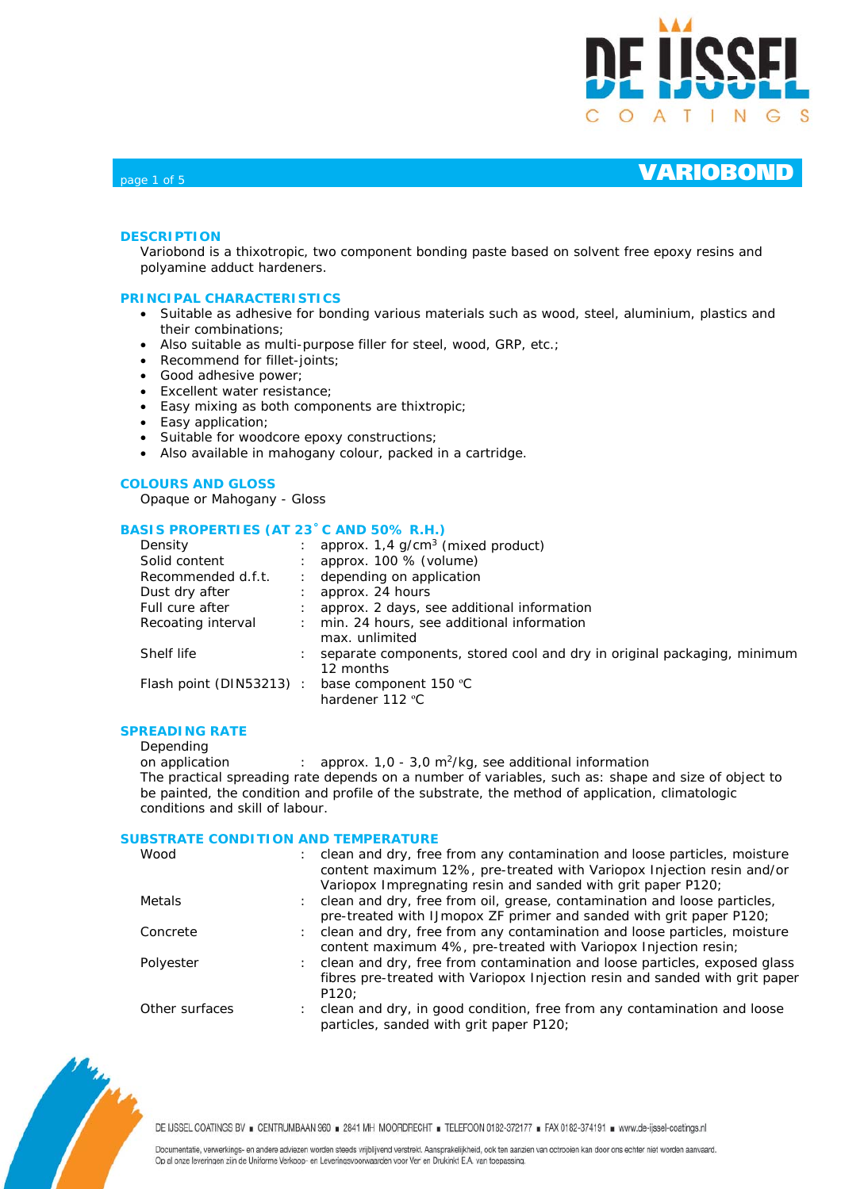

# **DESCRIPTION**

Variobond is a thixotropic, two component bonding paste based on solvent free epoxy resins and polyamine adduct hardeners.

### **PRINCIPAL CHARACTERISTICS**

- Suitable as adhesive for bonding various materials such as wood, steel, aluminium, plastics and their combinations;
- Also suitable as multi-purpose filler for steel, wood, GRP, etc.;
- Recommend for fillet-joints;
- Good adhesive power;
- Excellent water resistance;
- Easy mixing as both components are thixtropic;
- Easy application;
- Suitable for woodcore epoxy constructions;
- Also available in mahogany colour, packed in a cartridge.

#### **COLOURS AND GLOSS**

Opaque or Mahogany - Gloss

#### **BASIS PROPERTIES (AT 23˚C AND 50% R.H.)**

| Density                 | approx. $1,4$ g/cm <sup>3</sup> (mixed product)                                      |  |
|-------------------------|--------------------------------------------------------------------------------------|--|
| Solid content           | approx. 100 % (volume)                                                               |  |
| Recommended d.f.t.      | depending on application                                                             |  |
| Dust dry after          | approx. 24 hours                                                                     |  |
| Full cure after         | approx. 2 days, see additional information                                           |  |
| Recoating interval      | min. 24 hours, see additional information<br>max. unlimited                          |  |
| Shelf life              | separate components, stored cool and dry in original packaging, minimum<br>12 months |  |
| Flash point (DIN53213): | base component 150 °C<br>hardener 112 °C                                             |  |

# **SPREADING RATE**

Depending

on application : approx. 1,0 - 3,0 m<sup>2</sup>/kg, see additional information The practical spreading rate depends on a number of variables, such as: shape and size of object to be painted, the condition and profile of the substrate, the method of application, climatologic conditions and skill of labour.

# **SUBSTRATE CONDITION AND TEMPERATURE**

| Wood           |       | clean and dry, free from any contamination and loose particles, moisture<br>content maximum 12%, pre-treated with Variopox Injection resin and/or<br>Variopox Impregnating resin and sanded with grit paper P120; |
|----------------|-------|-------------------------------------------------------------------------------------------------------------------------------------------------------------------------------------------------------------------|
| <b>Metals</b>  |       | clean and dry, free from oil, grease, contamination and loose particles,<br>pre-treated with IJmopox ZF primer and sanded with grit paper P120;                                                                   |
| Concrete       | diam. | clean and dry, free from any contamination and loose particles, moisture<br>content maximum 4%, pre-treated with Variopox Injection resin;                                                                        |
| Polyester      |       | clean and dry, free from contamination and loose particles, exposed glass<br>fibres pre-treated with Variopox Injection resin and sanded with grit paper<br>P120:                                                 |
| Other surfaces |       | clean and dry, in good condition, free from any contamination and loose<br>particles, sanded with grit paper P120;                                                                                                |



DE IJSSEL COATINGS BV = CENTRUMBAAN 960 = 2841 MH MOORDRECHT = TELEFOON 0182-372177 = FAX 0182-374191 = www.de-ijssel-coatings.nl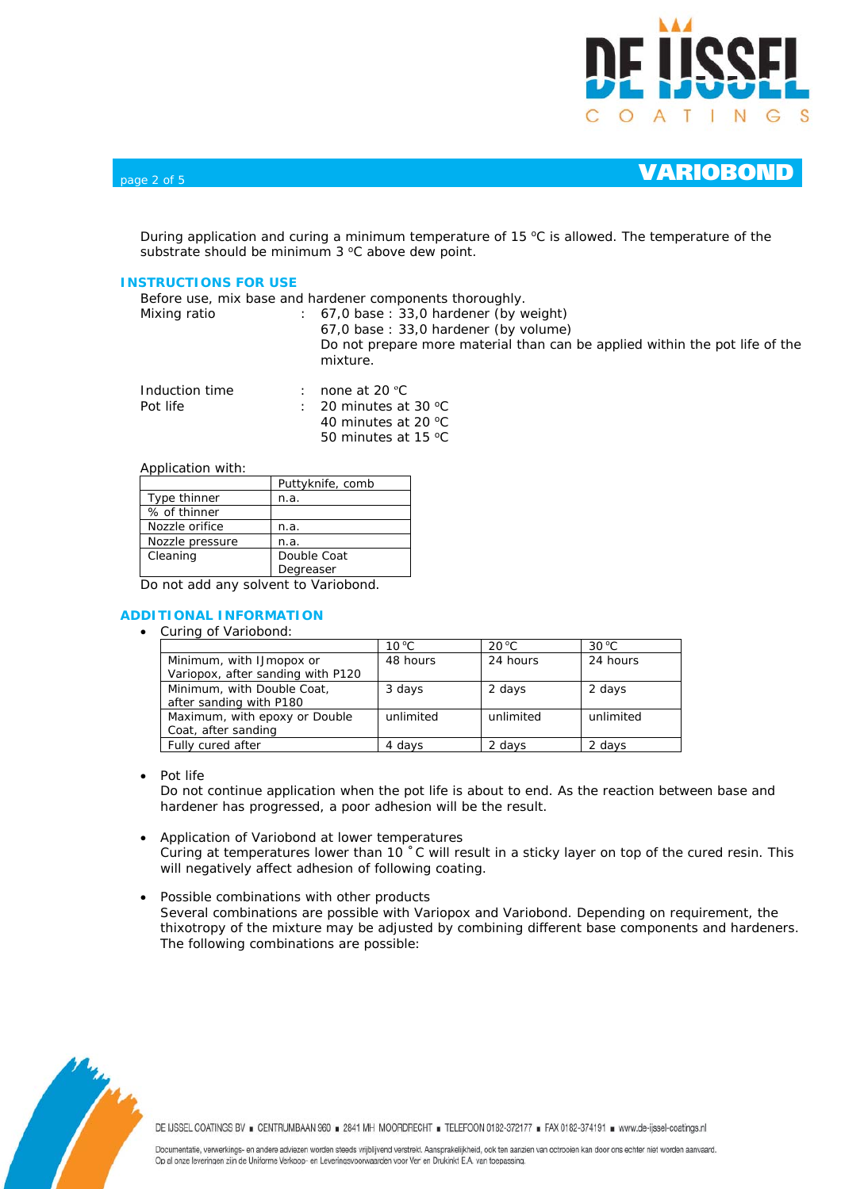

During application and curing a minimum temperature of 15  $\degree$ C is allowed. The temperature of the substrate should be minimum 3 °C above dew point.

### **INSTRUCTIONS FOR USE**

Before use, mix base and hardener components thoroughly.

| .            | mixture.<br>$\sim$ $\sim$ $\sim$ $\sim$                                     |
|--------------|-----------------------------------------------------------------------------|
|              | Do not prepare more material than can be applied within the pot life of the |
|              | $67.0$ base: 33.0 hardener (by volume)                                      |
| Mixing ratio | $\therefore$ 67,0 base $\therefore$ 33,0 hardener (by weight)               |
|              |                                                                             |

| Induction time | : none at 20 $^{\circ}$ C     |
|----------------|-------------------------------|
| Pot life       | $\pm$ 20 minutes at 30 °C.    |
|                | 40 minutes at 20 $^{\circ}$ C |
|                | 50 minutes at 15 $\degree$ C  |

Application with:

|                 | Puttyknife, comb |
|-----------------|------------------|
| Type thinner    | n.a.             |
| % of thinner    |                  |
| Nozzle orifice  | n.a.             |
| Nozzle pressure | n.a.             |
| Cleaning        | Double Coat      |
|                 | Degreaser        |

Do not add any solvent to Variobond.

# **ADDITIONAL INFORMATION**

• Curing of Variobond:

|                                                               | $10^{\circ}$ C | $20^{\circ}$ C | $30^{\circ}$ C |
|---------------------------------------------------------------|----------------|----------------|----------------|
| Minimum, with IJmopox or<br>Variopox, after sanding with P120 | 48 hours       | 24 hours       | 24 hours       |
| Minimum, with Double Coat,<br>after sanding with P180         | 3 days         | 2 days         | 2 days         |
| Maximum, with epoxy or Double<br>Coat, after sanding          | unlimited      | unlimited      | unlimited      |
| Fully cured after                                             | 4 davs         | 2 days         | 2 days         |

- Pot life Do not continue application when the pot life is about to end. As the reaction between base and hardener has progressed, a poor adhesion will be the result.
- Application of Variobond at lower temperatures Curing at temperatures lower than 10 ˚C will result in a sticky layer on top of the cured resin. This will negatively affect adhesion of following coating.
- Possible combinations with other products Several combinations are possible with Variopox and Variobond. Depending on requirement, the thixotropy of the mixture may be adjusted by combining different base components and hardeners. The following combinations are possible:



DE IJSSEL COATINGS BV = CENTRUMBAAN 960 = 2841 MH MOORDRECHT = TELEFOON 0182-372177 = FAX 0182-374191 = www.de-ijssel-coatings.nl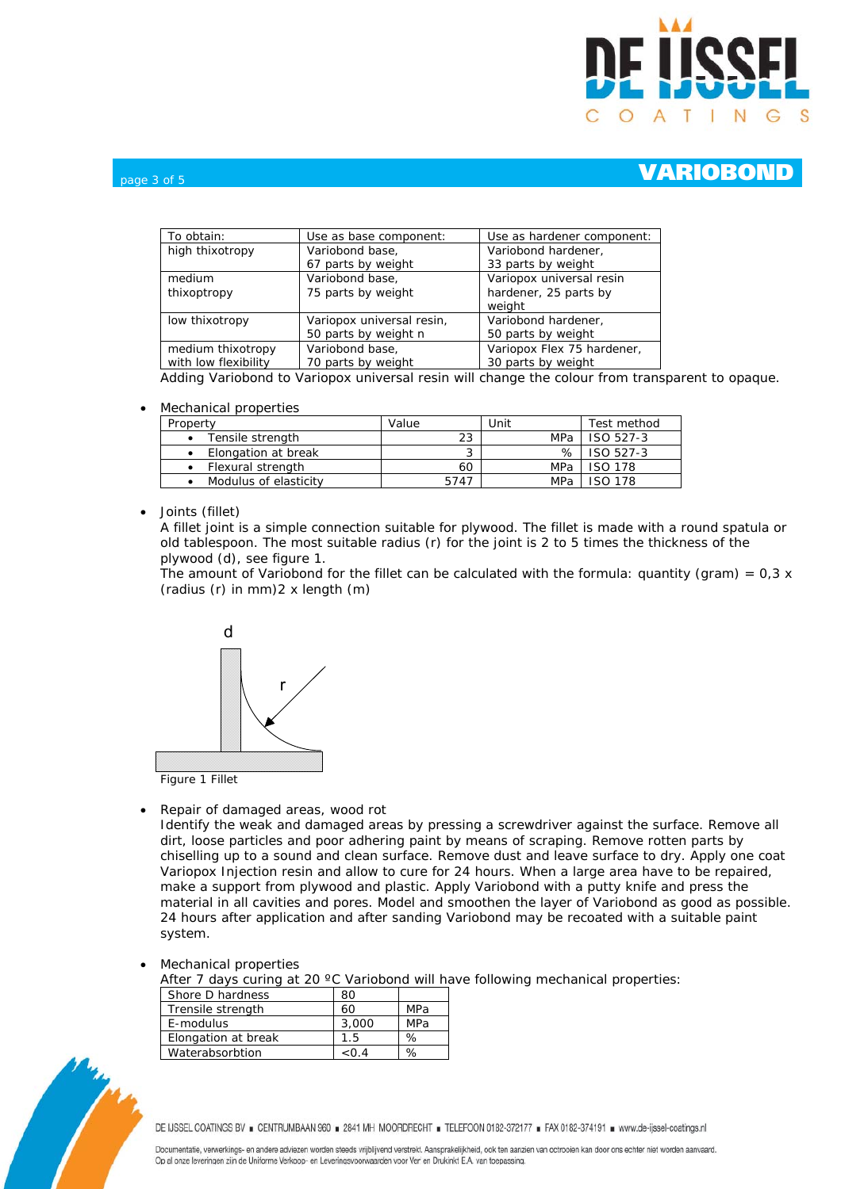

# page 3 of 5 **VARIOBOND**

| To obtain:           | Use as base component:    | Use as hardener component: |
|----------------------|---------------------------|----------------------------|
| high thixotropy      | Variobond base,           | Variobond hardener,        |
|                      | 67 parts by weight        | 33 parts by weight         |
| medium               | Variobond base,           | Variopox universal resin   |
| thixoptropy          | 75 parts by weight        | hardener, 25 parts by      |
|                      |                           | weight                     |
| low thixotropy       | Variopox universal resin, | Variobond hardener,        |
|                      | 50 parts by weight n      | 50 parts by weight         |
| medium thixotropy    | Variobond base,           | Variopox Flex 75 hardener, |
| with low flexibility | 70 parts by weight        | 30 parts by weight         |

Adding Variobond to Variopox universal resin will change the colour from transparent to opaque.

• Mechanical properties

| Property              | Value | Unit | Test method    |
|-----------------------|-------|------|----------------|
| Tensile strength      | 23    | MPa  | ISO 527-3      |
| Elongation at break   | ⌒     | %    | ISO 527-3      |
| Flexural strength     | 60    | MPa  | <b>ISO 178</b> |
| Modulus of elasticity | 5747  | MPa  | <b>ISO 178</b> |

• Joints (fillet)

A fillet joint is a simple connection suitable for plywood. The fillet is made with a round spatula or old tablespoon. The most suitable radius (r) for the joint is 2 to 5 times the thickness of the plywood (d), see figure 1.

The amount of Variobond for the fillet can be calculated with the formula: quantity (gram) =  $0.3 \times$ (radius (r) in mm)2 x length (m)



Figure 1 Fillet

• Repair of damaged areas, wood rot

Identify the weak and damaged areas by pressing a screwdriver against the surface. Remove all dirt, loose particles and poor adhering paint by means of scraping. Remove rotten parts by chiselling up to a sound and clean surface. Remove dust and leave surface to dry. Apply one coat Variopox Injection resin and allow to cure for 24 hours. When a large area have to be repaired, make a support from plywood and plastic. Apply Variobond with a putty knife and press the material in all cavities and pores. Model and smoothen the layer of Variobond as good as possible. 24 hours after application and after sanding Variobond may be recoated with a suitable paint system.

• Mechanical properties

After 7 days curing at 20 °C Variobond will have following mechanical properties:

| Shore D hardness    | 80    |     |
|---------------------|-------|-----|
| Trensile strength   | 60    | MPa |
| E-modulus           | 3,000 | MPa |
| Elongation at break | 1.5   | ℅   |
| Waterabsorbtion     |       | ∽∕∩ |



DE IJSSEL COATINGS BV E CENTRUMBAAN 960 = 2841 MH MOORDRECHT = TELEFOON 0182-372177 = FAX 0182-374191 = www.de-ijssel-coatings.nl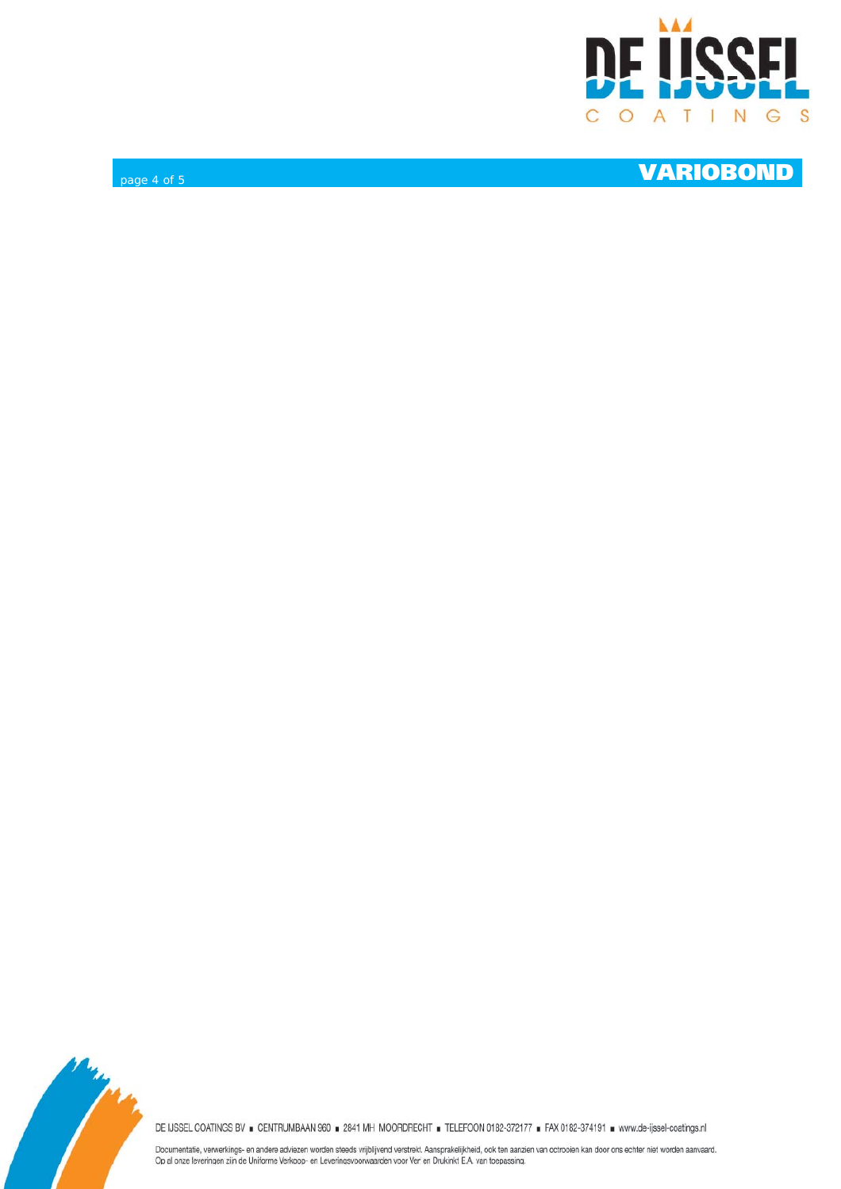





DE IJSSEL COATINGS BV · CENTRUMBAAN 960 · 2841 MH MOORDRECHT · TELEFOON 0182-372177 · FAX 0182-374191 · www.de-ijssel-coatings.nl